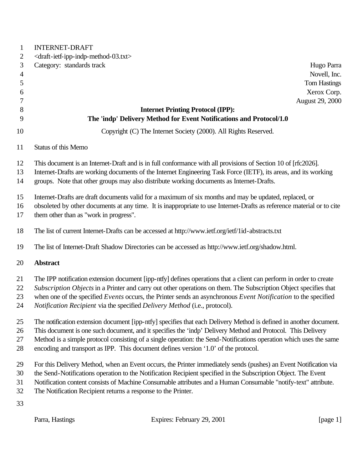| $\mathbf{1}$   | <b>INTERNET-DRAFT</b>                                                      |                                                                                                                                                                                                                                        |                     |
|----------------|----------------------------------------------------------------------------|----------------------------------------------------------------------------------------------------------------------------------------------------------------------------------------------------------------------------------------|---------------------|
| $\overline{2}$ | <draft-ietf-ipp-indp-method-03.txt></draft-ietf-ipp-indp-method-03.txt>    |                                                                                                                                                                                                                                        |                     |
| 3              | Category: standards track                                                  |                                                                                                                                                                                                                                        | Hugo Parra          |
| $\overline{4}$ |                                                                            |                                                                                                                                                                                                                                        | Novell, Inc.        |
| 5              |                                                                            |                                                                                                                                                                                                                                        | <b>Tom Hastings</b> |
| 6              |                                                                            |                                                                                                                                                                                                                                        | Xerox Corp.         |
| 7              |                                                                            |                                                                                                                                                                                                                                        | August 29, 2000     |
| 8              |                                                                            | <b>Internet Printing Protocol (IPP):</b>                                                                                                                                                                                               |                     |
| 9              |                                                                            | The 'indp' Delivery Method for Event Notifications and Protocol/1.0                                                                                                                                                                    |                     |
| 10             |                                                                            | Copyright (C) The Internet Society (2000). All Rights Reserved.                                                                                                                                                                        |                     |
| 11             | Status of this Memo                                                        |                                                                                                                                                                                                                                        |                     |
| 12             |                                                                            | This document is an Internet-Draft and is in full conformance with all provisions of Section 10 of [rfc2026].                                                                                                                          |                     |
| 13             |                                                                            | Internet-Drafts are working documents of the Internet Engineering Task Force (IETF), its areas, and its working                                                                                                                        |                     |
| 14             |                                                                            | groups. Note that other groups may also distribute working documents as Internet-Drafts.                                                                                                                                               |                     |
|                |                                                                            |                                                                                                                                                                                                                                        |                     |
| 15             |                                                                            | Internet-Drafts are draft documents valid for a maximum of six months and may be updated, replaced, or                                                                                                                                 |                     |
| 16             |                                                                            | obsoleted by other documents at any time. It is inappropriate to use Internet-Drafts as reference material or to cite                                                                                                                  |                     |
| 17             | them other than as "work in progress".                                     |                                                                                                                                                                                                                                        |                     |
| 18             |                                                                            | The list of current Internet-Drafts can be accessed at http://www.ietf.org/ietf/1id-abstracts.txt                                                                                                                                      |                     |
| 19             |                                                                            | The list of Internet-Draft Shadow Directories can be accessed as http://www.ietf.org/shadow.html.                                                                                                                                      |                     |
| 20             | <b>Abstract</b>                                                            |                                                                                                                                                                                                                                        |                     |
|                |                                                                            |                                                                                                                                                                                                                                        |                     |
| 21<br>22       |                                                                            | The IPP notification extension document [ipp-ntfy] defines operations that a client can perform in order to create<br>Subscription Objects in a Printer and carry out other operations on them. The Subscription Object specifies that |                     |
| 23             |                                                                            | when one of the specified Events occurs, the Printer sends an asynchronous Event Notification to the specified                                                                                                                         |                     |
| 24             | Notification Recipient via the specified Delivery Method (i.e., protocol). |                                                                                                                                                                                                                                        |                     |
| 25             |                                                                            | The notification extension document [ipp-ntfy] specifies that each Delivery Method is defined in another document.                                                                                                                     |                     |
| 26             |                                                                            | This document is one such document, and it specifies the 'indp' Delivery Method and Protocol. This Delivery                                                                                                                            |                     |
| 27             |                                                                            | Method is a simple protocol consisting of a single operation: the Send-Notifications operation which uses the same                                                                                                                     |                     |
| 28             |                                                                            | encoding and transport as IPP. This document defines version '1.0' of the protocol.                                                                                                                                                    |                     |
|                |                                                                            |                                                                                                                                                                                                                                        |                     |
| 29             |                                                                            | For this Delivery Method, when an Event occurs, the Printer immediately sends (pushes) an Event Notification via                                                                                                                       |                     |
| 30             |                                                                            | the Send-Notifications operation to the Notification Recipient specified in the Subscription Object. The Event                                                                                                                         |                     |
| 31<br>32       |                                                                            | Notification content consists of Machine Consumable attributes and a Human Consumable "notify-text" attribute.                                                                                                                         |                     |
|                | The Notification Recipient returns a response to the Printer.              |                                                                                                                                                                                                                                        |                     |
| 33             |                                                                            |                                                                                                                                                                                                                                        |                     |
|                | Parra, Hastings                                                            | Expires: February 29, 2001                                                                                                                                                                                                             | [page 1]            |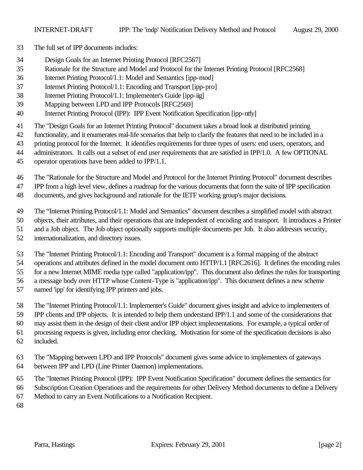- The full set of IPP documents includes:
- Design Goals for an Internet Printing Protocol [RFC2567]
- Rationale for the Structure and Model and Protocol for the Internet Printing Protocol [RFC2568]
- Internet Printing Protocol/1.1: Model and Semantics [ipp-mod]
- Internet Printing Protocol/1.1: Encoding and Transport [ipp-pro]
- Internet Printing Protocol/1.1: Implementer's Guide [ipp-iig]
- Mapping between LPD and IPP Protocols [RFC2569]
- Internet Printing Protocol (IPP): IPP Event Notification Specification [ipp-ntfy]
- The "Design Goals for an Internet Printing Protocol" document takes a broad look at distributed printing
- functionality, and it enumerates real-life scenarios that help to clarify the features that need to be included in a
- printing protocol for the Internet. It identifies requirements for three types of users: end users, operators, and
- administrators. It calls out a subset of end user requirements that are satisfied in IPP/1.0. A few OPTIONAL
- operator operations have been added to IPP/1.1.

The "Rationale for the Structure and Model and Protocol for the Internet Printing Protocol" document describes

IPP from a high level view, defines a roadmap for the various documents that form the suite of IPP specification

documents, and gives background and rationale for the IETF working group's major decisions.

The "Internet Printing Protocol/1.1: Model and Semantics" document describes a simplified model with abstract

objects, their attributes, and their operations that are independent of encoding and transport. It introduces a Printer

- and a Job object. The Job object optionally supports multiple documents per Job. It also addresses security,
- internationalization, and directory issues.

The "Internet Printing Protocol/1.1: Encoding and Transport" document is a formal mapping of the abstract

operations and attributes defined in the model document onto HTTP/1.1 [RFC2616]. It defines the encoding rules

for a new Internet MIME media type called "application/ipp". This document also defines the rules for transporting

a message body over HTTP whose Content-Type is "application/ipp". This document defines a new scheme

named 'ipp' for identifying IPP printers and jobs.

The "Internet Printing Protocol/1.1: Implementer's Guide" document gives insight and advice to implementers of

IPP clients and IPP objects. It is intended to help them understand IPP/1.1 and some of the considerations that

may assist them in the design of their client and/or IPP object implementations. For example, a typical order of

processing requests is given, including error checking. Motivation for some of the specification decisions is also

- included.
- The "Mapping between LPD and IPP Protocols" document gives some advice to implementers of gateways
- between IPP and LPD (Line Printer Daemon) implementations.
- The "Internet Printing Protocol (IPP): IPP Event Notification Specification" document defines the semantics for
- Subscription Creation Operations and the requirements for other Delivery Method documents to define a Delivery
- Method to carry an Event Notifications to a Notification Recipient.
-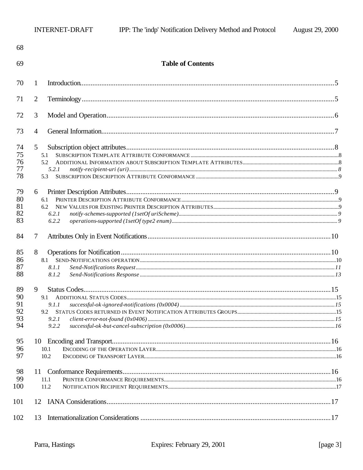| 68                               |                                            |  |
|----------------------------------|--------------------------------------------|--|
| 69                               | <b>Table of Contents</b>                   |  |
| 70                               | 1                                          |  |
| 71                               | $\overline{2}$                             |  |
| 72                               | 3                                          |  |
| 73                               | 4                                          |  |
| 74<br>75<br>76<br>77<br>78       | 5<br>5.1<br>5.2<br>5.2.1<br>5.3            |  |
| 79<br>80<br>81<br>82<br>83       | 6<br>6.1<br>6.2<br>6.2.1<br>6.2.2          |  |
| 84                               | 7                                          |  |
| 85<br>86<br>87<br>88             | 8<br>8.1<br>8.1.1<br>8.1.2                 |  |
| 89<br>90<br>91<br>92<br>93<br>94 | 9<br>9.1<br>9.1.1<br>9.2<br>9.2.1<br>9.2.2 |  |
| 95<br>96<br>97                   | 10<br>10.1<br>10.2                         |  |
| 98<br>99<br>100                  | 11<br>11.1<br>11.2                         |  |
| 101                              | 12                                         |  |
| 102                              | 13                                         |  |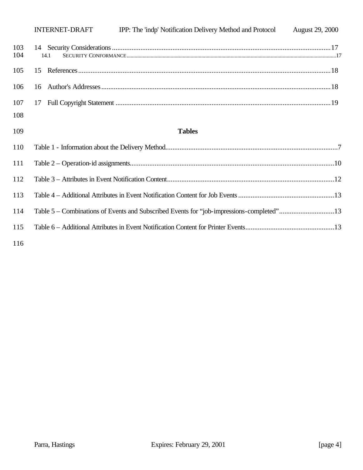|            | <b>INTERNET-DRAFT</b> | IPP: The 'indp' Notification Delivery Method and Protocol | <b>August 29, 2000</b> |
|------------|-----------------------|-----------------------------------------------------------|------------------------|
| 103<br>104 |                       |                                                           |                        |
| 105        | 15                    |                                                           |                        |
| 106        | 16                    |                                                           |                        |
| 107        | 17                    |                                                           |                        |
| 108        |                       |                                                           |                        |
| 109        |                       | <b>Tables</b>                                             |                        |

| 112 |                                                                                          |  |
|-----|------------------------------------------------------------------------------------------|--|
| 113 |                                                                                          |  |
| 114 | Table 5 – Combinations of Events and Subscribed Events for "job-impressions-completed"13 |  |
| 115 |                                                                                          |  |
| 11< |                                                                                          |  |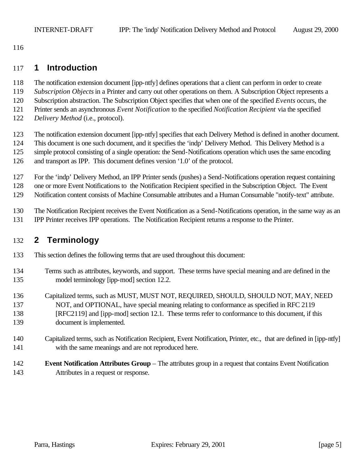# **1 Introduction**

- The notification extension document [ipp-ntfy] defines operations that a client can perform in order to create
- *Subscription Objects* in a Printer and carry out other operations on them. A Subscription Object represents a
- Subscription abstraction. The Subscription Object specifies that when one of the specified *Events* occurs, the
- Printer sends an asynchronous *Event Notification* to the specified *Notification Recipient* via the specified
- *Delivery Method* (i.e., protocol).
- The notification extension document [ipp-ntfy] specifies that each Delivery Method is defined in another document.
- This document is one such document, and it specifies the 'indp' Delivery Method. This Delivery Method is a
- simple protocol consisting of a single operation: the Send-Notifications operation which uses the same encoding
- and transport as IPP. This document defines version '1.0' of the protocol.
- For the 'indp' Delivery Method, an IPP Printer sends (pushes) a Send-Notifications operation request containing
- one or more Event Notifications to the Notification Recipient specified in the Subscription Object. The Event
- Notification content consists of Machine Consumable attributes and a Human Consumable "notify-text" attribute.
- The Notification Recipient receives the Event Notification as a Send-Notifications operation, in the same way as an
- IPP Printer receives IPP operations. The Notification Recipient returns a response to the Printer.

# **2 Terminology**

- This section defines the following terms that are used throughout this document:
- Terms such as attributes, keywords, and support. These terms have special meaning and are defined in the model terminology [ipp-mod] section 12.2.
- Capitalized terms, such as MUST, MUST NOT, REQUIRED, SHOULD, SHOULD NOT, MAY, NEED NOT, and OPTIONAL, have special meaning relating to conformance as specified in RFC 2119 [RFC2119] and [ipp-mod] section 12.1. These terms refer to conformance to this document, if this document is implemented.
- Capitalized terms, such as Notification Recipient, Event Notification, Printer, etc., that are defined in [ipp-ntfy] with the same meanings and are not reproduced here.
- **Event Notification Attributes Group** The attributes group in a request that contains Event Notification Attributes in a request or response.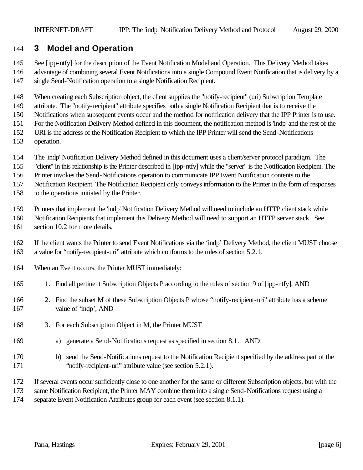# **3 Model and Operation**

See [ipp-ntfy] for the description of the Event Notification Model and Operation. This Delivery Method takes

 advantage of combining several Event Notifications into a single Compound Event Notification that is delivery by a single Send-Notification operation to a single Notification Recipient.

When creating each Subscription object, the client supplies the "notify-recipient" (uri) Subscription Template

attribute. The "notify-recipient" attribute specifies both a single Notification Recipient that is to receive the

Notifications when subsequent events occur and the method for notification delivery that the IPP Printer is to use.

For the Notification Delivery Method defined in this document, the notification method is 'indp' and the rest of the

- URI is the address of the Notification Recipient to which the IPP Printer will send the Send-Notifications
- operation.
- The 'indp' Notification Delivery Method defined in this document uses a client/server protocol paradigm. The
- "client" in this relationship is the Printer described in [ipp-ntfy] while the "server" is the Notification Recipient. The
- Printer invokes the Send-Notifications operation to communicate IPP Event Notification contents to the

Notification Recipient. The Notification Recipient only conveys information to the Printer in the form of responses

to the operations initiated by the Printer.

Printers that implement the 'indp' Notification Delivery Method will need to include an HTTP client stack while

- Notification Recipients that implement this Delivery Method will need to support an HTTP server stack. See
- section 10.2 for more details.
- If the client wants the Printer to send Event Notifications via the 'indp' Delivery Method, the client MUST choose a value for "notify-recipient-uri" attribute which conforms to the rules of section 5.2.1.
- When an Event occurs, the Printer MUST immediately:
- 165 1. Find all pertinent Subscription Objects P according to the rules of section 9 of [ipp-ntfy], AND
- 2. Find the subset M of these Subscription Objects P whose "notify-recipient-uri" attribute has a scheme 167 value of 'indp', AND
- 168 3. For each Subscription Object in M, the Printer MUST
- a) generate a Send-Notifications request as specified in section 8.1.1 AND
- b) send the Send-Notifications request to the Notification Recipient specified by the address part of the "notify-recipient-uri" attribute value (see section 5.2.1).
- If several events occur sufficiently close to one another for the same or different Subscription objects, but with the
- same Notification Recipient, the Printer MAY combine them into a single Send-Notifications request using a
- separate Event Notification Attributes group for each event (see section 8.1.1).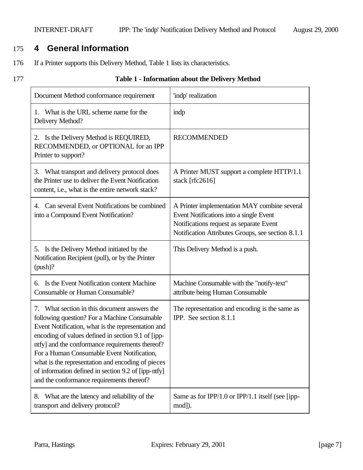# 175 **4 General Information**

- 176 If a Printer supports this Delivery Method, Table 1 lists its characteristics.
- 

### 177 **Table 1 - Information about the Delivery Method**

| Document Method conformance requirement                                                                                                                                                                                                                                                                                                                                                                                                                            | 'indp' realization                                                                                                                                                                      |  |  |
|--------------------------------------------------------------------------------------------------------------------------------------------------------------------------------------------------------------------------------------------------------------------------------------------------------------------------------------------------------------------------------------------------------------------------------------------------------------------|-----------------------------------------------------------------------------------------------------------------------------------------------------------------------------------------|--|--|
| 1. What is the URL scheme name for the<br>Delivery Method?                                                                                                                                                                                                                                                                                                                                                                                                         | indp                                                                                                                                                                                    |  |  |
| 2. Is the Delivery Method is REQUIRED,<br>RECOMMENDED, or OPTIONAL for an IPP<br>Printer to support?                                                                                                                                                                                                                                                                                                                                                               | <b>RECOMMENDED</b>                                                                                                                                                                      |  |  |
| What transport and delivery protocol does<br>3.<br>the Printer use to deliver the Event Notification<br>content, i.e., what is the entire network stack?                                                                                                                                                                                                                                                                                                           | A Printer MUST support a complete HTTP/1.1<br>stack [rfc2616]                                                                                                                           |  |  |
| Can several Event Notifications be combined<br>4.<br>into a Compound Event Notification?                                                                                                                                                                                                                                                                                                                                                                           | A Printer implementation MAY combine several<br>Event Notifications into a single Event<br>Notifications request as separate Event<br>Notification Attributes Groups, see section 8.1.1 |  |  |
| 5. Is the Delivery Method initiated by the<br>Notification Recipient (pull), or by the Printer<br>(push)?                                                                                                                                                                                                                                                                                                                                                          | This Delivery Method is a push.                                                                                                                                                         |  |  |
| 6. Is the Event Notification content Machine<br>Consumable or Human Consumable?                                                                                                                                                                                                                                                                                                                                                                                    | Machine Consumable with the "notify-text"<br>attribute being Human Consumable                                                                                                           |  |  |
| 7. What section in this document answers the<br>following question? For a Machine Consumable<br>Event Notification, what is the representation and<br>encoding of values defined in section 9.1 of [ipp-<br>ntfy] and the conformance requirements thereof?<br>For a Human Consumable Event Notification,<br>what is the representation and encoding of pieces<br>of information defined in section 9.2 of [ipp-ntfy]<br>and the conformance requirements thereof? | The representation and encoding is the same as<br>IPP. See section 8.1.1                                                                                                                |  |  |
| What are the latency and reliability of the<br>8.<br>transport and delivery protocol?                                                                                                                                                                                                                                                                                                                                                                              | Same as for IPP/1.0 or IPP/1.1 itself (see [ipp-<br>mod]).                                                                                                                              |  |  |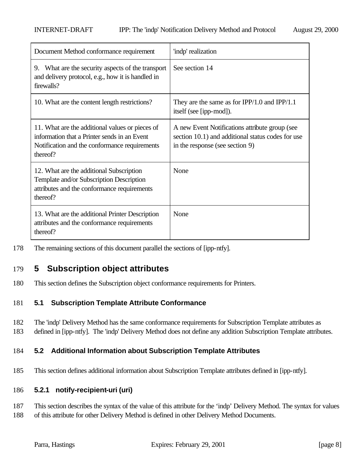| Document Method conformance requirement                                                                                                                      | 'indp' realization                                                                                                                     |
|--------------------------------------------------------------------------------------------------------------------------------------------------------------|----------------------------------------------------------------------------------------------------------------------------------------|
| 9. What are the security aspects of the transport<br>and delivery protocol, e.g., how it is handled in<br>firewalls?                                         | See section 14                                                                                                                         |
| 10. What are the content length restrictions?                                                                                                                | They are the same as for $IPP/1.0$ and $IPP/1.1$<br>itself (see [ipp-mod]).                                                            |
| 11. What are the additional values or pieces of<br>information that a Printer sends in an Event<br>Notification and the conformance requirements<br>thereof? | A new Event Notifications attribute group (see<br>section 10.1) and additional status codes for use<br>in the response (see section 9) |
| 12. What are the additional Subscription<br>Template and/or Subscription Description<br>attributes and the conformance requirements<br>thereof?              | None                                                                                                                                   |
| 13. What are the additional Printer Description<br>attributes and the conformance requirements<br>thereof?                                                   | None                                                                                                                                   |

178 The remaining sections of this document parallel the sections of [ipp-ntfy].

# 179 **5 Subscription object attributes**

180 This section defines the Subscription object conformance requirements for Printers.

## 181 **5.1 Subscription Template Attribute Conformance**

182 The 'indp' Delivery Method has the same conformance requirements for Subscription Template attributes as 183 defined in [ipp-ntfy]. The 'indp' Delivery Method does not define any addition Subscription Template attributes.

## 184 **5.2 Additional Information about Subscription Template Attributes**

185 This section defines additional information about Subscription Template attributes defined in [ipp-ntfy].

### 186 **5.2.1 notify-recipient-uri (uri)**

187 This section describes the syntax of the value of this attribute for the 'indp' Delivery Method. The syntax for values 188 of this attribute for other Delivery Method is defined in other Delivery Method Documents.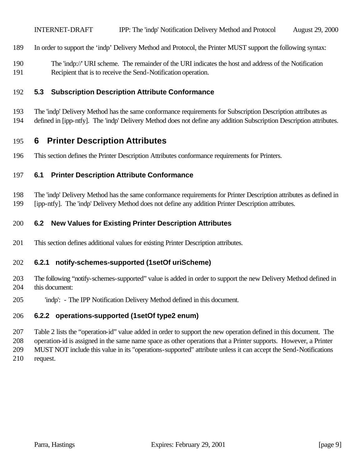- In order to support the 'indp' Delivery Method and Protocol, the Printer MUST support the following syntax:
- The 'indp://' URI scheme. The remainder of the URI indicates the host and address of the Notification Recipient that is to receive the Send-Notification operation.

### **5.3 Subscription Description Attribute Conformance**

The 'indp' Delivery Method has the same conformance requirements for Subscription Description attributes as

defined in [ipp-ntfy]. The 'indp' Delivery Method does not define any addition Subscription Description attributes.

# **6 Printer Description Attributes**

This section defines the Printer Description Attributes conformance requirements for Printers.

### **6.1 Printer Description Attribute Conformance**

 The 'indp' Delivery Method has the same conformance requirements for Printer Description attributes as defined in [ipp-ntfy]. The 'indp' Delivery Method does not define any addition Printer Description attributes.

### **6.2 New Values for Existing Printer Description Attributes**

This section defines additional values for existing Printer Description attributes.

### **6.2.1 notify-schemes-supported (1setOf uriScheme)**

- The following "notify-schemes-supported" value is added in order to support the new Delivery Method defined in this document:
- 'indp': The IPP Notification Delivery Method defined in this document.

### **6.2.2 operations-supported (1setOf type2 enum)**

 Table 2 lists the "operation-id" value added in order to support the new operation defined in this document. The operation-id is assigned in the same name space as other operations that a Printer supports. However, a Printer MUST NOT include this value in its "operations-supported" attribute unless it can accept the Send-Notifications

request.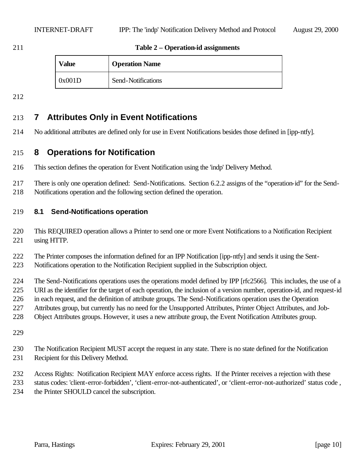### **Table 2 – Operation-id assignments**

| Value  | <b>Operation Name</b> |
|--------|-----------------------|
| 0x001D | Send-Notifications    |

# **7 Attributes Only in Event Notifications**

No additional attributes are defined only for use in Event Notifications besides those defined in [ipp-ntfy].

# **8 Operations for Notification**

- This section defines the operation for Event Notification using the 'indp' Delivery Method.
- There is only one operation defined: Send-Notifications. Section 6.2.2 assigns of the "operation-id" for the Send-
- Notifications operation and the following section defined the operation.

### **8.1 Send-Notifications operation**

- This REQUIRED operation allows a Printer to send one or more Event Notifications to a Notification Recipient using HTTP.
- The Printer composes the information defined for an IPP Notification [ipp-ntfy] and sends it using the Sent-
- Notifications operation to the Notification Recipient supplied in the Subscription object.
- The Send-Notifications operations uses the operations model defined by IPP [rfc2566]. This includes, the use of a
- URI as the identifier for the target of each operation, the inclusion of a version number, operation-id, and request-id
- in each request, and the definition of attribute groups. The Send-Notifications operation uses the Operation
- Attributes group, but currently has no need for the Unsupported Attributes, Printer Object Attributes, and Job-
- Object Attributes groups. However, it uses a new attribute group, the Event Notification Attributes group.
- 
- The Notification Recipient MUST accept the request in any state. There is no state defined for the Notification Recipient for this Delivery Method.
- Access Rights: Notification Recipient MAY enforce access rights. If the Printer receives a rejection with these
- status codes: 'client-error-forbidden', 'client-error-not-authenticated', or 'client-error-not-authorized' status code , the Printer SHOULD cancel the subscription.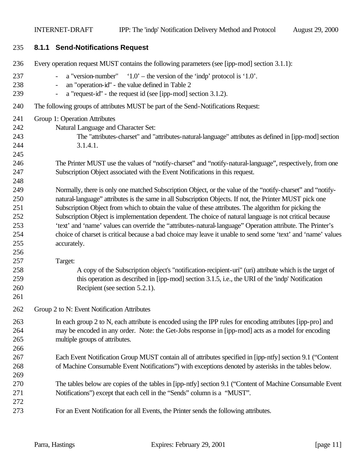| 235 | 8.1.1 Send-Notifications Request                                                                             |
|-----|--------------------------------------------------------------------------------------------------------------|
| 236 | Every operation request MUST contains the following parameters (see [ipp-mod] section 3.1.1):                |
| 237 | a "version-number" $1.0'$ - the version of the 'indp' protocol is '1.0'.<br>$\qquad \qquad -$                |
| 238 | an "operation-id" - the value defined in Table 2                                                             |
| 239 | a "request-id" - the request id (see [ipp-mod] section 3.1.2).<br>$\qquad \qquad \blacksquare$               |
| 240 | The following groups of attributes MUST be part of the Send-Notifications Request:                           |
| 241 | Group 1: Operation Attributes                                                                                |
| 242 | Natural Language and Character Set:                                                                          |
| 243 | The "attributes-charset" and "attributes-natural-language" attributes as defined in [ipp-mod] section        |
| 244 | 3.1.4.1.                                                                                                     |
| 245 |                                                                                                              |
| 246 | The Printer MUST use the values of "notify-charset" and "notify-natural-language", respectively, from one    |
| 247 | Subscription Object associated with the Event Notifications in this request.                                 |
| 248 |                                                                                                              |
| 249 | Normally, there is only one matched Subscription Object, or the value of the "notify-charset" and "notify-   |
| 250 | natural-language" attributes is the same in all Subscription Objects. If not, the Printer MUST pick one      |
| 251 | Subscription Object from which to obtain the value of these attributes. The algorithm for picking the        |
| 252 | Subscription Object is implementation dependent. The choice of natural language is not critical because      |
| 253 | 'text' and 'name' values can override the "attributes-natural-language" Operation attribute. The Printer's   |
| 254 | choice of charset is critical because a bad choice may leave it unable to send some 'text' and 'name' values |
| 255 | accurately.                                                                                                  |
| 256 |                                                                                                              |
| 257 | Target:                                                                                                      |
| 258 | A copy of the Subscription object's "notification-recipient-uri" (uri) attribute which is the target of      |
| 259 | this operation as described in [ipp-mod] section 3.1.5, i.e., the URI of the 'indp' Notification             |
| 260 | Recipient (see section 5.2.1).                                                                               |
| 261 |                                                                                                              |
| 262 | Group 2 to N: Event Notification Attributes                                                                  |
| 263 | In each group 2 to N, each attribute is encoded using the IPP rules for encoding attributes [ipp-pro] and    |
| 264 | may be encoded in any order. Note: the Get-Jobs response in [ipp-mod] acts as a model for encoding           |
| 265 | multiple groups of attributes.                                                                               |
| 266 |                                                                                                              |
| 267 | Each Event Notification Group MUST contain all of attributes specified in [ipp-ntfy] section 9.1 ("Content"  |
| 268 | of Machine Consumable Event Notifications") with exceptions denoted by asterisks in the tables below.        |
| 269 |                                                                                                              |
| 270 | The tables below are copies of the tables in [ipp-ntfy] section 9.1 ("Content of Machine Consumable Event"   |
| 271 | Notifications") except that each cell in the "Sends" column is a "MUST".                                     |
| 272 |                                                                                                              |
| 273 | For an Event Notification for all Events, the Printer sends the following attributes.                        |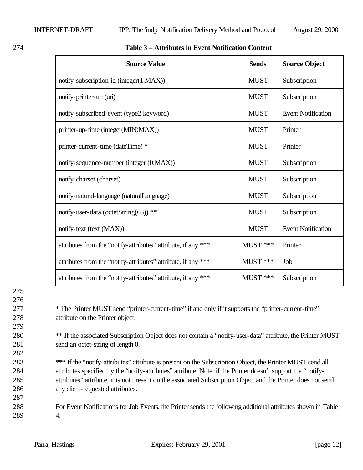| <b>Source Value</b>                                           | <b>Sends</b> | <b>Source Object</b>      |
|---------------------------------------------------------------|--------------|---------------------------|
| notify-subscription-id (integer(1:MAX))                       | <b>MUST</b>  | Subscription              |
| notify-printer-uri (uri)                                      | <b>MUST</b>  | Subscription              |
| notify-subscribed-event (type2 keyword)                       | <b>MUST</b>  | <b>Event Notification</b> |
| printer-up-time (integer(MIN:MAX))                            | <b>MUST</b>  | Printer                   |
| printer-current-time (dateTime) *                             | <b>MUST</b>  | Printer                   |
| notify-sequence-number (integer (0:MAX))                      | <b>MUST</b>  | Subscription              |
| notify-charset (charset)                                      | <b>MUST</b>  | Subscription              |
| notify-natural-language (naturalLanguage)                     | <b>MUST</b>  | Subscription              |
| notify-user-data (octetString(63)) **                         | <b>MUST</b>  | Subscription              |
| notify-text (text (MAX))                                      | <b>MUST</b>  | <b>Event Notification</b> |
| attributes from the "notify-attributes" attribute, if any *** | MUST ***     | Printer                   |
| attributes from the "notify-attributes" attribute, if any *** | MUST ***     | Job                       |
| attributes from the "notify-attributes" attribute, if any *** | MUST ***     | Subscription              |

### 274 **Table 3 – Attributes in Event Notification Content**

276 279 282

287

275

277 \* The Printer MUST send "printer-current-time" if and only if it supports the "printer-current-time" 278 attribute on the Printer object.

280 \*\* If the associated Subscription Object does not contain a "notify-user-data" attribute, the Printer MUST 281 send an octet-string of length 0.

 \*\*\* If the "notify-attributes" attribute is present on the Subscription Object, the Printer MUST send all attributes specified by the "notify-attributes" attribute. Note: if the Printer doesn't support the "notify- attributes" attribute, it is not present on the associated Subscription Object and the Printer does not send any client-requested attributes.

288 For Event Notifications for Job Events, the Printer sends the following additional attributes shown in Table 289 4.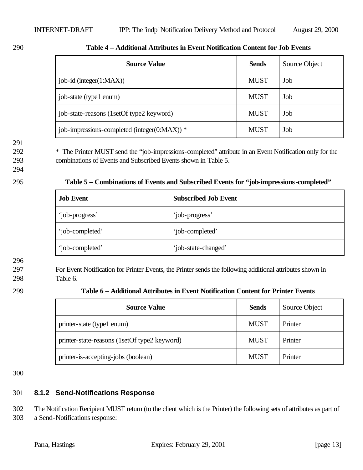| <b>Source Value</b>                          | <b>Sends</b> | Source Object |
|----------------------------------------------|--------------|---------------|
| job-id (integer(1:MAX))                      | <b>MUST</b>  | Job           |
| job-state (type1 enum)                       | <b>MUST</b>  | Job           |
| job-state-reasons (1setOf type2 keyword)     | <b>MUST</b>  | Job           |
| job-impressions-completed (integer(0:MAX)) * | <b>MUST</b>  | Job           |

### 290 **Table 4 – Additional Attributes in Event Notification Content for Job Events**

291

292 \* The Printer MUST send the "job-impressions-completed" attribute in an Event Notification only for the 293 combinations of Events and Subscribed Events shown in Table 5.

### 294

| 295 | Table 5 – Combinations of Events and Subscribed Events for "job-impressions-completed" |  |  |
|-----|----------------------------------------------------------------------------------------|--|--|
|     |                                                                                        |  |  |

| <b>Job Event</b> | <b>Subscribed Job Event</b> |
|------------------|-----------------------------|
| 'job-progress'   | 'job-progress'              |
| 'job-completed'  | 'job-completed'             |
| 'job-completed'  | 'job-state-changed'         |

### 296

297 For Event Notification for Printer Events, the Printer sends the following additional attributes shown in 298 Table 6.

| <b>Source Value</b>                          | <b>Sends</b> | Source Object |
|----------------------------------------------|--------------|---------------|
| printer-state (type1 enum)                   | <b>MUST</b>  | Printer       |
| printer-state-reasons (1setOf type2 keyword) | <b>MUST</b>  | Printer       |
| printer-is-accepting-jobs (boolean)          | <b>MUST</b>  | Printer       |

300

# 301 **8.1.2 Send-Notifications Response**

302 The Notification Recipient MUST return (to the client which is the Printer) the following sets of attributes as part of 303 a Send-Notifications response: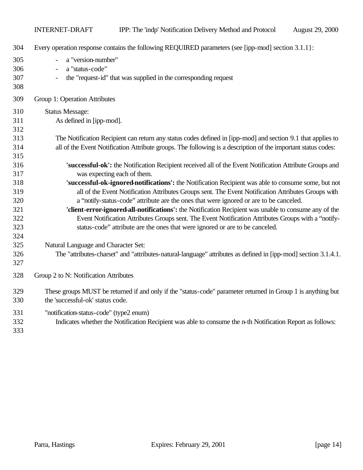| 304                      | Every operation response contains the following REQUIRED parameters (see [ipp-mod] section 3.1.1]:                                                                                            |
|--------------------------|-----------------------------------------------------------------------------------------------------------------------------------------------------------------------------------------------|
| 305<br>306<br>307<br>308 | a "version-number"<br>a "status-code"<br>the "request-id" that was supplied in the corresponding request                                                                                      |
| 309                      | Group 1: Operation Attributes                                                                                                                                                                 |
| 310                      | <b>Status Message:</b>                                                                                                                                                                        |
| 311<br>312               | As defined in [ipp-mod].                                                                                                                                                                      |
| 313                      | The Notification Recipient can return any status codes defined in [ipp-mod] and section 9.1 that applies to                                                                                   |
| 314                      | all of the Event Notification Attribute groups. The following is a description of the important status codes:                                                                                 |
| 315                      |                                                                                                                                                                                               |
| 316                      | 'successful-ok': the Notification Recipient received all of the Event Notification Attribute Groups and                                                                                       |
| 317                      | was expecting each of them.                                                                                                                                                                   |
| 318                      | 'successful-ok-ignored-notifications': the Notification Recipient was able to consume some, but not                                                                                           |
| 319<br>320               | all of the Event Notification Attributes Groups sent. The Event Notification Attributes Groups with<br>a "notify-status-code" attribute are the ones that were ignored or are to be canceled. |
| 321                      | 'client-error-ignored-all-notifications': the Notification Recipient was unable to consume any of the                                                                                         |
| 322                      | Event Notification Attributes Groups sent. The Event Notification Attributes Groups with a "notify-                                                                                           |
| 323                      | status-code" attribute are the ones that were ignored or are to be canceled.                                                                                                                  |
| 324<br>325               | Natural Language and Character Set:                                                                                                                                                           |
| 326                      | The "attributes-charset" and "attributes-natural-language" attributes as defined in [ipp-mod] section 3.1.4.1.                                                                                |
| 327                      |                                                                                                                                                                                               |
| 328                      | Group 2 to N: Notification Attributes                                                                                                                                                         |
| 329<br>330               | These groups MUST be returned if and only if the "status-code" parameter returned in Group 1 is anything but<br>the 'successful-ok' status code.                                              |
| 331<br>332<br>333        | "notification-status-code" (type2 enum)<br>Indicates whether the Notification Recipient was able to consume the n-th Notification Report as follows:                                          |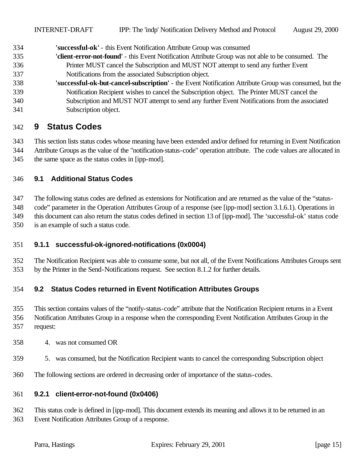**'successful-ok'** - this Event Notification Attribute Group was consumed

- **'client-error-not-found'** this Event Notification Attribute Group was not able to be consumed. The Printer MUST cancel the Subscription and MUST NOT attempt to send any further Event Notifications from the associated Subscription object.
- **'successful-ok-but-cancel-subscription'** the Event Notification Attribute Group was consumed, but the Notification Recipient wishes to cancel the Subscription object. The Printer MUST cancel the Subscription and MUST NOT attempt to send any further Event Notifications from the associated Subscription object.

# **9 Status Codes**

 This section lists status codes whose meaning have been extended and/or defined for returning in Event Notification Attribute Groups as the value of the "notification-status-code" operation attribute. The code values are allocated in the same space as the status codes in [ipp-mod].

### **9.1 Additional Status Codes**

 The following status codes are defined as extensions for Notification and are returned as the value of the "status- code" parameter in the Operation Attributes Group of a response (see [ipp-mod] section 3.1.6.1). Operations in this document can also return the status codes defined in section 13 of [ipp-mod]. The 'successful-ok' status code is an example of such a status code.

### **9.1.1 successful-ok-ignored-notifications (0x0004)**

 The Notification Recipient was able to consume some, but not all, of the Event Notifications Attributes Groups sent by the Printer in the Send-Notifications request. See section 8.1.2 for further details.

### **9.2 Status Codes returned in Event Notification Attributes Groups**

 This section contains values of the "notify-status-code" attribute that the Notification Recipient returns in a Event Notification Attributes Group in a response when the corresponding Event Notification Attributes Group in the request:

- 4. was not consumed OR
- 5. was consumed, but the Notification Recipient wants to cancel the corresponding Subscription object
- The following sections are ordered in decreasing order of importance of the status-codes.

### **9.2.1 client-error-not-found (0x0406)**

 This status code is defined in [ipp-mod]. This document extends its meaning and allows it to be returned in an Event Notification Attributes Group of a response.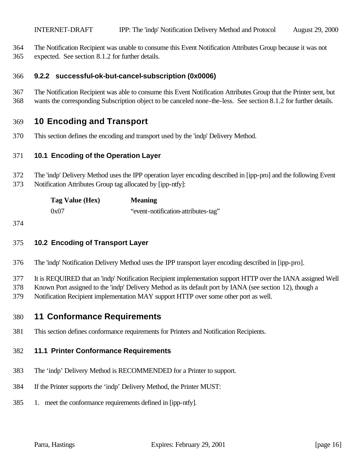The Notification Recipient was unable to consume this Event Notification Attributes Group because it was not

expected. See section 8.1.2 for further details.

### **9.2.2 successful-ok-but-cancel-subscription (0x0006)**

 The Notification Recipient was able to consume this Event Notification Attributes Group that the Printer sent, but wants the corresponding Subscription object to be canceled none-the-less. See section 8.1.2 for further details.

# **10 Encoding and Transport**

This section defines the encoding and transport used by the 'indp' Delivery Method.

### **10.1 Encoding of the Operation Layer**

- The 'indp' Delivery Method uses the IPP operation layer encoding described in [ipp-pro] and the following Event
- Notification Attributes Group tag allocated by [ipp-ntfy]:

| Tag Value (Hex) | <b>Meaning</b>                      |
|-----------------|-------------------------------------|
| 0x07            | "event-notification-attributes-tag" |

### **10.2 Encoding of Transport Layer**

The 'indp' Notification Delivery Method uses the IPP transport layer encoding described in [ipp-pro].

It is REQUIRED that an 'indp' Notification Recipient implementation support HTTP over the IANA assigned Well

- Known Port assigned to the 'indp' Delivery Method as its default port by IANA (see section 12), though a
- Notification Recipient implementation MAY support HTTP over some other port as well.

## **11 Conformance Requirements**

This section defines conformance requirements for Printers and Notification Recipients.

### **11.1 Printer Conformance Requirements**

- The 'indp' Delivery Method is RECOMMENDED for a Printer to support.
- If the Printer supports the 'indp' Delivery Method, the Printer MUST:
- 1. meet the conformance requirements defined in [ipp-ntfy].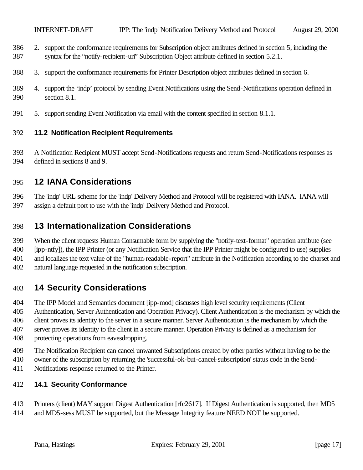- 2. support the conformance requirements for Subscription object attributes defined in section 5, including the syntax for the "notify-recipient-uri" Subscription Object attribute defined in section 5.2.1.
- 3. support the conformance requirements for Printer Description object attributes defined in section 6.
- 4. support the 'indp' protocol by sending Event Notifications using the Send-Notifications operation defined in section 8.1.
- 5. support sending Event Notification via email with the content specified in section 8.1.1.

### **11.2 Notification Recipient Requirements**

 A Notification Recipient MUST accept Send-Notifications requests and return Send-Notifications responses as defined in sections 8 and 9.

# **12 IANA Considerations**

 The 'indp' URL scheme for the 'indp' Delivery Method and Protocol will be registered with IANA. IANA will assign a default port to use with the 'indp' Delivery Method and Protocol.

# **13 Internationalization Considerations**

 When the client requests Human Consumable form by supplying the "notify-text-format" operation attribute (see [ipp-ntfy]), the IPP Printer (or any Notification Service that the IPP Printer might be configured to use) supplies and localizes the text value of the "human-readable-report" attribute in the Notification according to the charset and

natural language requested in the notification subscription.

# **14 Security Considerations**

The IPP Model and Semantics document [ipp-mod] discusses high level security requirements (Client

 Authentication, Server Authentication and Operation Privacy). Client Authentication is the mechanism by which the client proves its identity to the server in a secure manner. Server Authentication is the mechanism by which the server proves its identity to the client in a secure manner. Operation Privacy is defined as a mechanism for protecting operations from eavesdropping.

- The Notification Recipient can cancel unwanted Subscriptions created by other parties without having to be the
- owner of the subscription by returning the 'successful-ok-but-cancel-subscription' status code in the Send-
- Notifications response returned to the Printer.

### **14.1 Security Conformance**

- Printers (client) MAY support Digest Authentication [rfc2617]. If Digest Authentication is supported, then MD5
- and MD5-sess MUST be supported, but the Message Integrity feature NEED NOT be supported.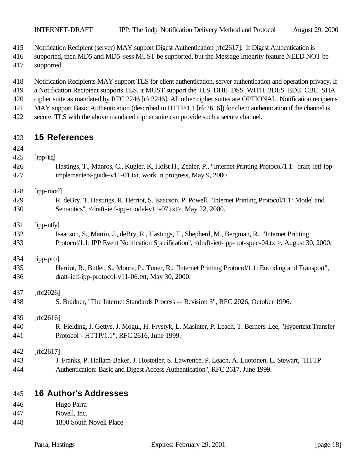Notification Recipient (server) MAY support Digest Authentication [rfc2617]. If Digest Authentication is

- supported, then MD5 and MD5-sess MUST be supported, but the Message Integrity feature NEED NOT be
- supported.
- Notification Recipients MAY support TLS for client authentication, server authentication and operation privacy. If
- 419 a Notification Recipient supports TLS, it MUST support the TLS\_DHE\_DSS\_WITH\_3DES\_EDE\_CBC\_SHA
- cipher suite as mandated by RFC 2246 [rfc2246]. All other cipher suites are OPTIONAL. Notification recipients MAY support Basic Authentication (described in HTTP/1.1 [rfc2616]) for client authentication if the channel is
- secure. TLS with the above mandated cipher suite can provide such a secure channel.
- 

# **15 References**

- 
- [ipp-iig]
- Hastings, T., Manros, C., Kugler, K, Holst H., Zehler, P., "Internet Printing Protocol/1.1: draft-ietf-ipp-implementers-guide-v11-01.txt, work in progress, May 9, 2000
- [ipp-mod]
- R. deBry, T. Hastings, R. Herriot, S. Isaacson, P. Powell, "Internet Printing Protocol/1.1: Model and 430 Semantics", <draft-ietf-ipp-model-v11-07.txt>, May 22, 2000.
- [ipp-ntfy]
- Isaacson, S., Martin, J., deBry, R., Hastings, T., Shepherd, M., Bergman, R., "Internet Printing Protocol/1.1: IPP Event Notification Specification", <draft-ietf-ipp-not-spec-04.txt>, August 30, 2000.
- [ipp-pro]
- Herriot, R., Butler, S., Moore, P., Tuner, R., "Internet Printing Protocol/1.1: Encoding and Transport", draft-ietf-ipp-protocol-v11-06.txt, May 30, 2000.
- [rfc2026]
	- S. Bradner, "The Internet Standards Process -- Revision 3", RFC 2026, October 1996.
	- 439 [rfc2616]
	- R. Fielding, J. Gettys, J. Mogul, H. Frystyk, L. Masinter, P. Leach, T. Berners-Lee, "Hypertext Transfer Protocol - HTTP/1.1", RFC 2616, June 1999.

[rfc2617]

 J. Franks, P. Hallam-Baker, J. Hostetler, S. Lawrence, P. Leach, A. Luotonen, L. Stewart, "HTTP Authentication: Basic and Digest Access Authentication", RFC 2617, June 1999.

# **16 Author's Addresses**

- Hugo Parra Novell, Inc.
- 1800 South Novell Place